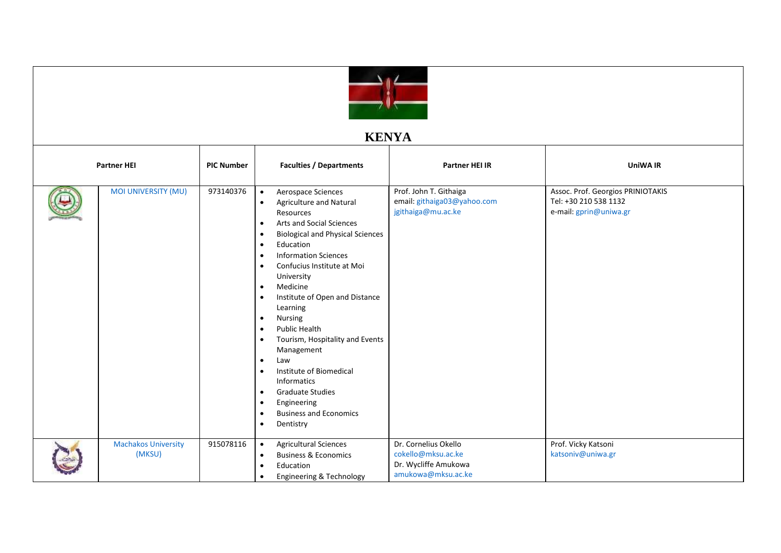

## **KENYA**

| <b>Partner HEI</b> |                                      | <b>PIC Number</b> | <b>Faculties / Departments</b>                                                                                                                                                                                                                                                                                                                                                                                                                                                                                                                                                                                                                                                                                | <b>Partner HEI IR</b>                                                                    | <b>UniWA IR</b>                                                                      |
|--------------------|--------------------------------------|-------------------|---------------------------------------------------------------------------------------------------------------------------------------------------------------------------------------------------------------------------------------------------------------------------------------------------------------------------------------------------------------------------------------------------------------------------------------------------------------------------------------------------------------------------------------------------------------------------------------------------------------------------------------------------------------------------------------------------------------|------------------------------------------------------------------------------------------|--------------------------------------------------------------------------------------|
|                    | <b>MOI UNIVERSITY (MU)</b>           | 973140376         | Aerospace Sciences<br>$\bullet$<br>Agriculture and Natural<br>$\bullet$<br>Resources<br><b>Arts and Social Sciences</b><br>$\bullet$<br><b>Biological and Physical Sciences</b><br>Education<br>$\bullet$<br><b>Information Sciences</b><br>Confucius Institute at Moi<br>$\bullet$<br>University<br>Medicine<br>$\bullet$<br>Institute of Open and Distance<br>$\bullet$<br>Learning<br><b>Nursing</b><br>$\bullet$<br>Public Health<br>$\bullet$<br>Tourism, Hospitality and Events<br>Management<br>Law<br>$\bullet$<br>Institute of Biomedical<br>$\bullet$<br>Informatics<br><b>Graduate Studies</b><br>$\bullet$<br>Engineering<br><b>Business and Economics</b><br>$\bullet$<br>Dentistry<br>$\bullet$ | Prof. John T. Githaiga<br>email: githaiga03@yahoo.com<br>jgithaiga@mu.ac.ke              | Assoc. Prof. Georgios PRINIOTAKIS<br>Tel: +30 210 538 1132<br>e-mail: gprin@uniwa.gr |
|                    | <b>Machakos University</b><br>(MKSU) | 915078116         | <b>Agricultural Sciences</b><br>$\bullet$<br><b>Business &amp; Economics</b><br>$\bullet$<br>Education<br>Engineering & Technology<br>$\bullet$                                                                                                                                                                                                                                                                                                                                                                                                                                                                                                                                                               | Dr. Cornelius Okello<br>cokello@mksu.ac.ke<br>Dr. Wycliffe Amukowa<br>amukowa@mksu.ac.ke | Prof. Vicky Katsoni<br>katsoniv@uniwa.gr                                             |